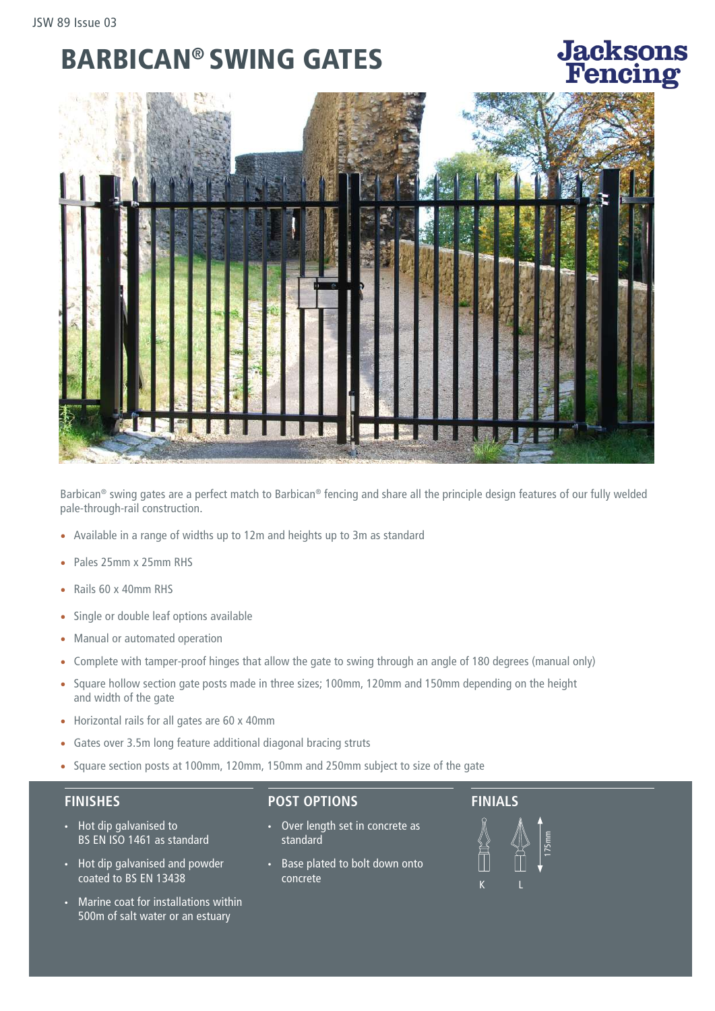### BARBICAN® SWING GATES

# **Jacksons**<br>Fencing



Barbican® swing gates are a perfect match to Barbican® fencing and share all the principle design features of our fully welded pale-through-rail construction.

- Available in a range of widths up to 12m and heights up to 3m as standard
- Pales 25mm x 25mm RHS
- Rails 60 x 40mm RHS
- Single or double leaf options available
- Manual or automated operation
- Complete with tamper-proof hinges that allow the gate to swing through an angle of 180 degrees (manual only)
- Square hollow section gate posts made in three sizes; 100mm, 120mm and 150mm depending on the height and width of the gate
- Horizontal rails for all gates are 60 x 40mm
- Gates over 3.5m long feature additional diagonal bracing struts
- Square section posts at 100mm, 120mm, 150mm and 250mm subject to size of the gate

#### **FINISHES**

- Hot dip galvanised to BS EN ISO 1461 as standard
- Hot dip galvanised and powder coated to BS EN 13438
- Marine coat for installations within 500m of salt water or an estuary

#### **POST OPTIONS**

- Over length set in concrete as standard
- Base plated to bolt down onto concrete

## **FINIALS**



175mm